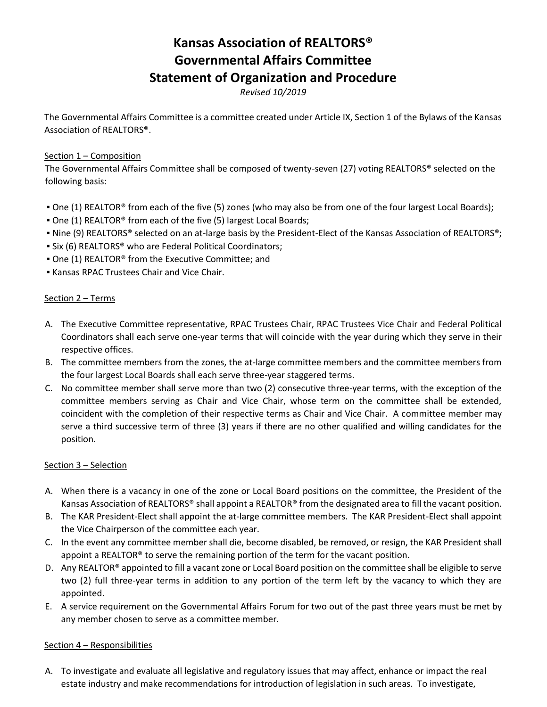# **Kansas Association of REALTORS® Governmental Affairs Committee Statement of Organization and Procedure**

*Revised 10/2019*

The Governmental Affairs Committee is a committee created under Article IX, Section 1 of the Bylaws of the Kansas Association of REALTORS®.

### Section 1 – Composition

The Governmental Affairs Committee shall be composed of twenty-seven (27) voting REALTORS® selected on the following basis:

- One (1) REALTOR® from each of the five (5) zones (who may also be from one of the four largest Local Boards);
- One (1) REALTOR<sup>®</sup> from each of the five (5) largest Local Boards;
- Nine (9) REALTORS® selected on an at-large basis by the President-Elect of the Kansas Association of REALTORS®;
- **.** Six (6) REALTORS<sup>®</sup> who are Federal Political Coordinators;
- One (1) REALTOR® from the Executive Committee; and
- Kansas RPAC Trustees Chair and Vice Chair.

#### Section 2 – Terms

- A. The Executive Committee representative, RPAC Trustees Chair, RPAC Trustees Vice Chair and Federal Political Coordinators shall each serve one-year terms that will coincide with the year during which they serve in their respective offices.
- B. The committee members from the zones, the at-large committee members and the committee members from the four largest Local Boards shall each serve three-year staggered terms.
- C. No committee member shall serve more than two (2) consecutive three-year terms, with the exception of the committee members serving as Chair and Vice Chair, whose term on the committee shall be extended, coincident with the completion of their respective terms as Chair and Vice Chair. A committee member may serve a third successive term of three (3) years if there are no other qualified and willing candidates for the position.

#### Section 3 – Selection

- A. When there is a vacancy in one of the zone or Local Board positions on the committee, the President of the Kansas Association of REALTORS® shall appoint a REALTOR® from the designated area to fill the vacant position.
- B. The KAR President-Elect shall appoint the at-large committee members. The KAR President-Elect shall appoint the Vice Chairperson of the committee each year.
- C. In the event any committee member shall die, become disabled, be removed, or resign, the KAR President shall appoint a REALTOR® to serve the remaining portion of the term for the vacant position.
- D. Any REALTOR<sup>®</sup> appointed to fill a vacant zone or Local Board position on the committee shall be eligible to serve two (2) full three-year terms in addition to any portion of the term left by the vacancy to which they are appointed.
- E. A service requirement on the Governmental Affairs Forum for two out of the past three years must be met by any member chosen to serve as a committee member.

#### Section 4 – Responsibilities

A. To investigate and evaluate all legislative and regulatory issues that may affect, enhance or impact the real estate industry and make recommendations for introduction of legislation in such areas. To investigate,